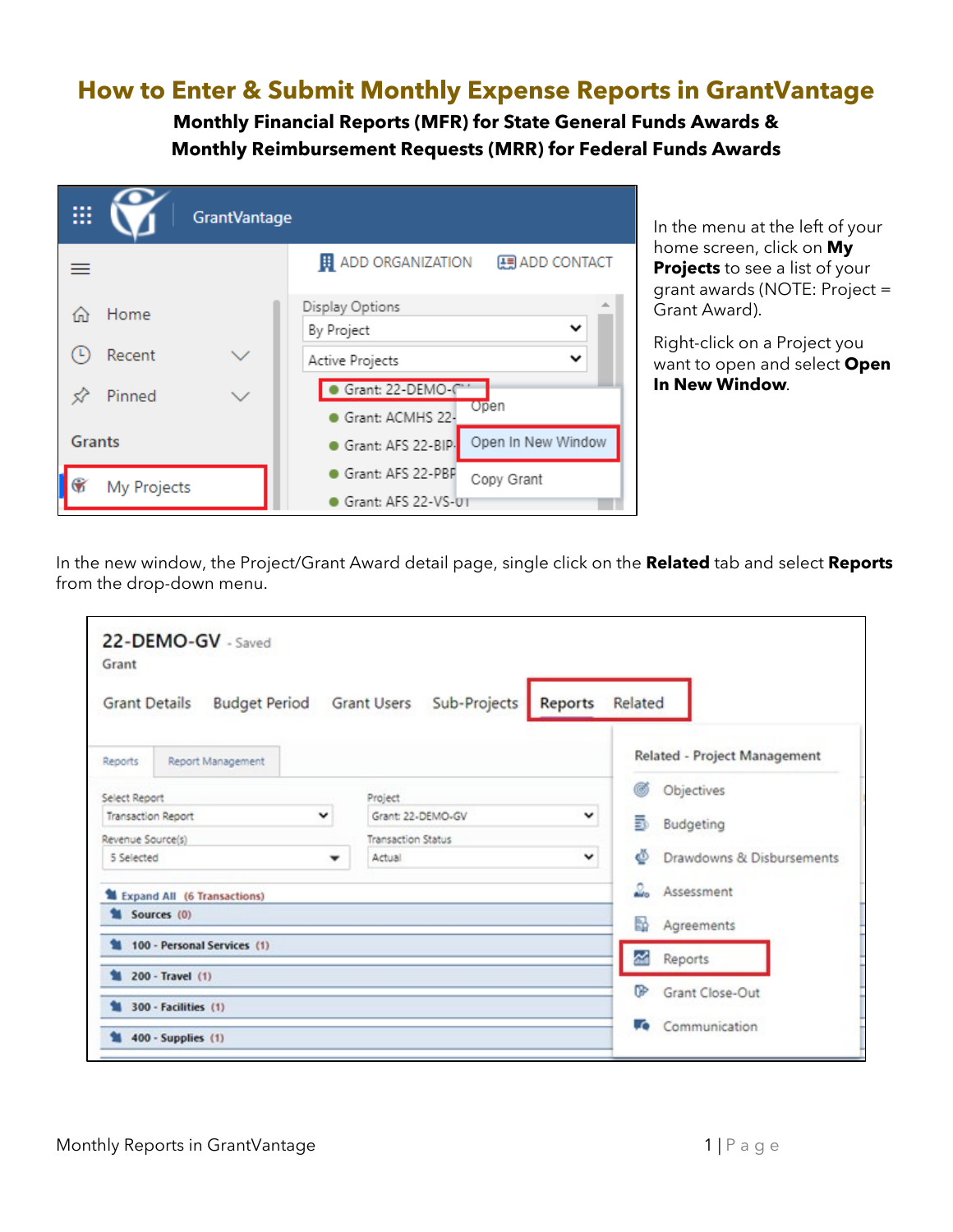## **How to Enter & Submit Monthly Expense Reports in GrantVantage**

**Monthly Financial Reports (MFR) for State General Funds Awards & Monthly Reimbursement Requests (MRR) for Federal Funds Awards**

| ▦             |             | <b>GrantVantage</b> |                                                   |
|---------------|-------------|---------------------|---------------------------------------------------|
|               |             |                     | <b>H</b> ADD ORGANIZATION<br><b>图 ADD CONTACT</b> |
|               | Home        |                     | Display Options                                   |
|               |             |                     | $\checkmark$<br>By Project                        |
|               | Recent      |                     | ◡<br>Active Projects                              |
|               | Pinned      |                     | Grant: 22-DEMO-C                                  |
|               |             |                     | Open<br>Grant: ACMHS 22-                          |
| <b>Grants</b> |             |                     | Open In New Window<br>Grant: AFS 22-BIP-          |
|               | My Projects |                     | Grant: AFS 22-PBF<br>Copy Grant                   |
|               |             |                     | Grant: AFS 22-VS-UT                               |

In the menu at the left of your home screen, click on **My Projects** to see a list of your grant awards (NOTE: Project = Grant Award).

Right-click on a Project you want to open and select **Open In New Window***.*

In the new window, the Project/Grant Award detail page, single click on the **Related** tab and select **Reports** from the drop-down menu.

| Grant                     | 22-DEMO-GV - Saved          |                                                   |                              |
|---------------------------|-----------------------------|---------------------------------------------------|------------------------------|
| <b>Grant Details</b>      |                             | Budget Period Grant Users Sub-Projects<br>Reports | Related                      |
| Reports                   | Report Management           |                                                   | Related - Project Management |
| Select Report             |                             | ø<br>Objectives                                   |                              |
| <b>Transaction Report</b> |                             | 5<br>Budgeting                                    |                              |
| Revenue Source(s)         |                             |                                                   |                              |
| 5 Selected                |                             | Drawdowns & Disbursements<br>o                    |                              |
|                           | Expand All (6 Transactions) | ┻<br>Assessment                                   |                              |
|                           | Sources (0)                 | Ы<br>Agreements                                   |                              |
|                           | 100 - Personal Services (1) | 섧<br>Reports                                      |                              |
|                           | 200 - Travel (1)            |                                                   |                              |
|                           | 300 - Facilities (1)        |                                                   | ☞<br>Grant Close-Out         |
|                           | 400 - Supplies (1)          |                                                   | Communication<br>. O         |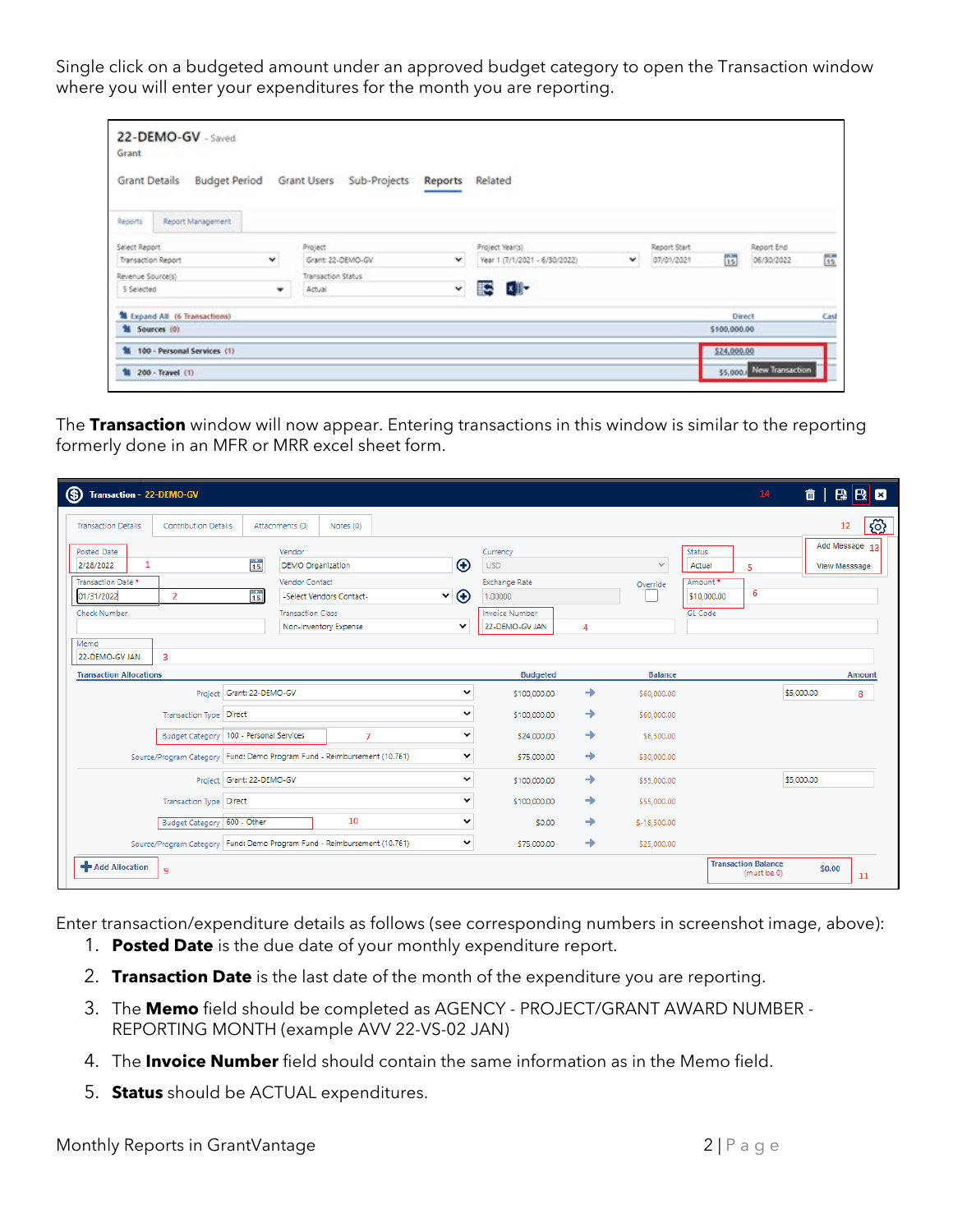Single click on a budgeted amount under an approved budget category to open the Transaction window where you will enter your expenditures for the month you are reporting.

| 22-DEMO-GV - Saved<br>Grant<br>Grant Details | Budget Period Grant Users Sub-Projects | Reports | Related                            |  |              |                |                          |                   |
|----------------------------------------------|----------------------------------------|---------|------------------------------------|--|--------------|----------------|--------------------------|-------------------|
| Report Management<br>Reports                 |                                        |         |                                    |  |              |                |                          |                   |
| Select Report                                | Project                                |         | Project Year(s)                    |  | Report Start |                | Report End               |                   |
| Transaction Report<br>v                      | Grant: 22-DEMO-GV                      | v       | Year 1 (7/1/2021 - 6/30/2022)<br>٧ |  | 07/01/2021   | $\frac{1}{12}$ | 06/30/2022               | $\frac{100}{3.5}$ |
| Transaction Status<br>Revenue Source's)      |                                        |         |                                    |  |              |                |                          |                   |
| v<br>5 Selected<br>Actual<br>۰               |                                        |         | x B-<br>R                          |  |              |                |                          |                   |
| Expand All (6 Transactions)                  |                                        |         |                                    |  |              |                | Direct                   | Cast              |
| <b>11 Sources</b> (0)                        |                                        |         |                                    |  |              | \$100,000.00   |                          |                   |
| 100 - Personal Services (1)                  |                                        |         |                                    |  |              | \$24,000.00    |                          |                   |
| <sup>1</sup> 200 - Travel (1)                |                                        |         |                                    |  |              |                | \$5,000. New Transaction |                   |

The **Transaction** window will now appear. Entering transactions in this window is similar to the reporting formerly done in an MFR or MRR excel sheet form.

| (\$)<br>Transaction - 22-DEMO-GV                                                                           |                                                                                                                                                                           |                                                               |                                                                                                      |   |                          | 14                                                                      | $\hat{p}$ $\hat{p}$ $\hat{p}$ $\hat{p}$ $\hat{p}$ $\hat{p}$ |
|------------------------------------------------------------------------------------------------------------|---------------------------------------------------------------------------------------------------------------------------------------------------------------------------|---------------------------------------------------------------|------------------------------------------------------------------------------------------------------|---|--------------------------|-------------------------------------------------------------------------|-------------------------------------------------------------|
| <b>Transaction Details</b><br><b>Contribution Details</b>                                                  | Attachments (0)<br>Notes (0)                                                                                                                                              |                                                               |                                                                                                      |   |                          |                                                                         | හි<br>12                                                    |
| Posted Date<br>1<br>2/28/2022<br>Transaction Date *<br>01/31/2022<br>$\overline{2}$<br><b>Check Number</b> | Vendor<br>$\frac{1}{15}$<br><b>DEMO Organization</b><br>Vendor Contact<br>$\frac{1}{15}$<br>-Select Vendors Contact-<br><b>Transaction Class</b><br>Non-Inventory Expense | $\bigoplus$<br>$\mathbf{v}$ $\mathbf{\Theta}$<br>$\checkmark$ | Currency<br><b>USD</b><br><b>Exchange Rate</b><br>1.00000<br><b>Invoice Number</b><br>22-DEMO-GV JAN | 4 | $\checkmark$<br>Override | Status<br>Actual<br>5<br>Amount *<br>6<br>\$10,000.00<br><b>GL Code</b> | Add Message 13<br><b>View Messsage</b>                      |
| Memo<br>22-DEMO-GV JAN<br>$\overline{3}$                                                                   | <b>Transaction Allocations</b>                                                                                                                                            |                                                               |                                                                                                      |   | <b>Balance</b>           |                                                                         |                                                             |
|                                                                                                            | Project Grant: 22-DEMO-GV                                                                                                                                                 | $\check{~}$                                                   | <b>Budgeted</b><br>\$100,000.00                                                                      | → | \$60,000.00              |                                                                         | <b>Amount</b><br>\$5,000.00<br>8                            |
|                                                                                                            | <b>Transaction Type Direct</b>                                                                                                                                            |                                                               |                                                                                                      | → | \$60,000.00              |                                                                         |                                                             |
| Budget Category   100 - Personal Services<br>7                                                             |                                                                                                                                                                           |                                                               | \$24,000.00                                                                                          | → | \$6,500.00               |                                                                         |                                                             |
|                                                                                                            | Source/Program Category   Fund: Demo Program Fund - Reimbursement (10.761)                                                                                                |                                                               |                                                                                                      |   | \$30,000.00              |                                                                         |                                                             |
|                                                                                                            | Project Grant: 22-DEMO-GV                                                                                                                                                 | $\check{ }$                                                   | \$100,000.00                                                                                         | → | \$55,000.00              |                                                                         | \$5,000.00                                                  |
| <b>Transaction Type Direct</b>                                                                             |                                                                                                                                                                           | $\checkmark$                                                  | \$100,000,00                                                                                         | → | \$55,000.00              |                                                                         |                                                             |
| Budget Category   600 - Other                                                                              | 10                                                                                                                                                                        | $\checkmark$                                                  | \$0.00                                                                                               | → | $$-18,500.00$            |                                                                         |                                                             |
|                                                                                                            | Source/Program Category   Fund: Demo Program Fund - Reimbursement (10.761)                                                                                                | $\check{ }$                                                   | \$75,000.00                                                                                          | → | \$25,000.00              |                                                                         |                                                             |
| + Add Allocation<br>9                                                                                      |                                                                                                                                                                           |                                                               |                                                                                                      |   |                          | <b>Transaction Balance</b><br>(must be 0)                               | \$0.00<br>11                                                |

Enter transaction/expenditure details as follows (see corresponding numbers in screenshot image, above):

- 1. **Posted Date** is the due date of your monthly expenditure report.
- 2. **Transaction Date** is the last date of the month of the expenditure you are reporting.
- 3. The **Memo** field should be completed as AGENCY PROJECT/GRANT AWARD NUMBER REPORTING MONTH (example AVV 22-VS-02 JAN)
- 4. The **Invoice Number** field should contain the same information as in the Memo field.
- 5. **Status** should be ACTUAL expenditures.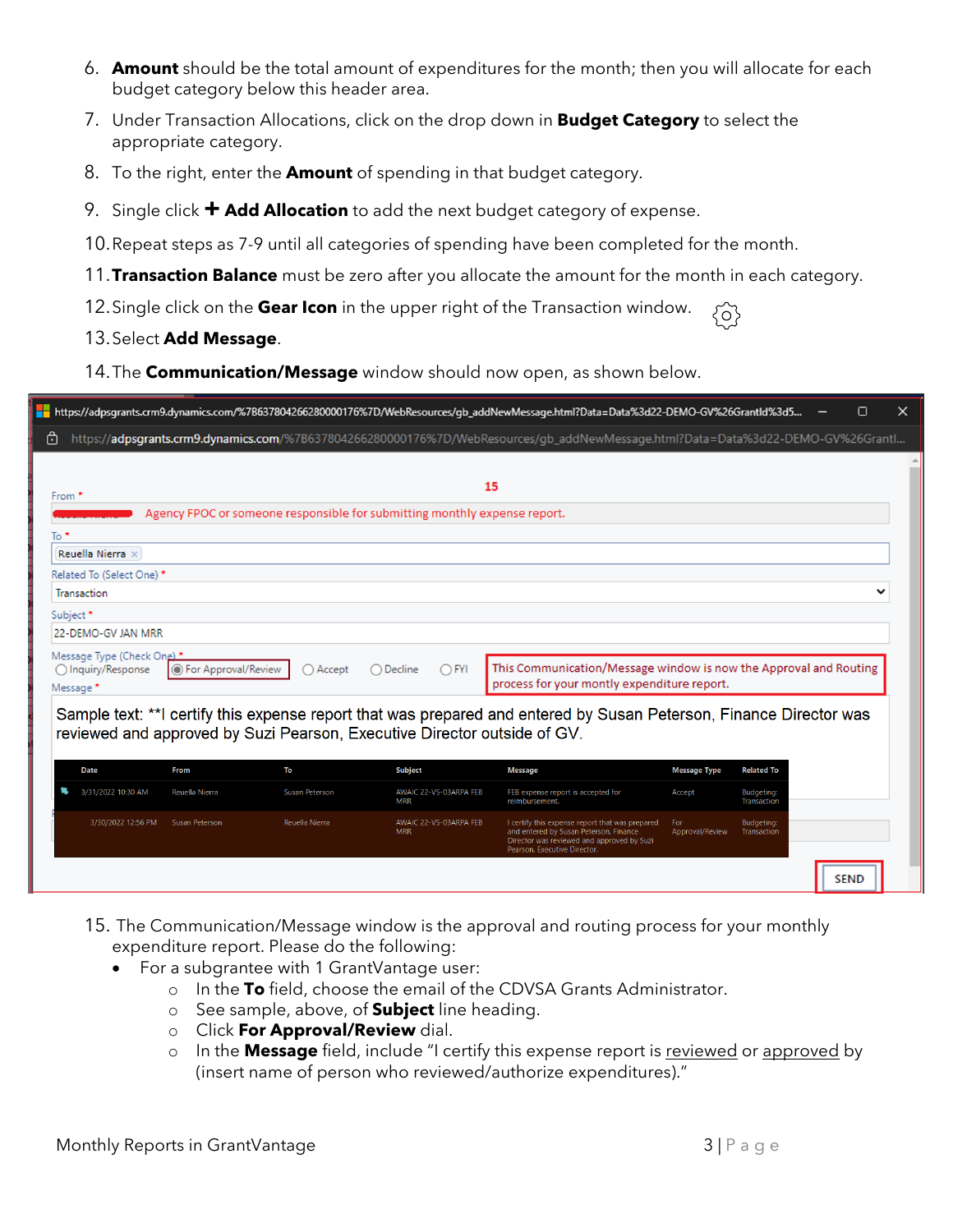- 6. **Amount** should be the total amount of expenditures for the month; then you will allocate for each budget category below this header area.
- 7. Under Transaction Allocations, click on the drop down in **Budget Category** to select the appropriate category.
- 8. To the right, enter the **Amount** of spending in that budget category.
- 9. Single click **+ Add Allocation** to add the next budget category of expense.
- 10.Repeat steps as 7-9 until all categories of spending have been completed for the month.
- 11.**Transaction Balance** must be zero after you allocate the amount for the month in each category.
- 12.Single click on the **Gear Icon** in the upper right of the Transaction window.  ${5}$
- 13.Select **Add Message**.
- 14.The **Communication/Message** window should now open, as shown below.

| https://adpsgrants.crm9.dynamics.com/%7B637804266280000176%7D/WebResources/qb_addNewMessage.html?Data=Data%3d22-DEMO-GV%26Grantl<br>⊡<br>15<br>From *<br>Agency FPOC or someone responsible for submitting monthly expense report.<br>$To *$<br>Reuella Nierra ×<br>Related To (Select One) *<br>Transaction<br>Subject <sup>*</sup><br>22-DEMO-GV JAN MRR<br>Message Type (Check One)*<br>This Communication/Message window is now the Approval and Routing<br>$\bigcap$ FYI<br>◯ Inquiry/Response<br>◉ For Approval/Review<br>$\bigcap$ Accept<br>Decline<br>process for your montly expenditure report.<br>Message * |             |      |    |                | https://adpsgrants.crm9.dynamics.com/%7B637804266280000176%7D/WebResources/gb_addNewMessage.html?Data=Data%3d22-DEMO-GV%26GrantId%3d5 |                     |                   | п |
|-------------------------------------------------------------------------------------------------------------------------------------------------------------------------------------------------------------------------------------------------------------------------------------------------------------------------------------------------------------------------------------------------------------------------------------------------------------------------------------------------------------------------------------------------------------------------------------------------------------------------|-------------|------|----|----------------|---------------------------------------------------------------------------------------------------------------------------------------|---------------------|-------------------|---|
|                                                                                                                                                                                                                                                                                                                                                                                                                                                                                                                                                                                                                         |             |      |    |                |                                                                                                                                       |                     |                   |   |
|                                                                                                                                                                                                                                                                                                                                                                                                                                                                                                                                                                                                                         |             |      |    |                |                                                                                                                                       |                     |                   |   |
|                                                                                                                                                                                                                                                                                                                                                                                                                                                                                                                                                                                                                         |             |      |    |                |                                                                                                                                       |                     |                   |   |
|                                                                                                                                                                                                                                                                                                                                                                                                                                                                                                                                                                                                                         |             |      |    |                |                                                                                                                                       |                     |                   |   |
|                                                                                                                                                                                                                                                                                                                                                                                                                                                                                                                                                                                                                         |             |      |    |                |                                                                                                                                       |                     |                   |   |
|                                                                                                                                                                                                                                                                                                                                                                                                                                                                                                                                                                                                                         |             |      |    |                |                                                                                                                                       |                     |                   |   |
|                                                                                                                                                                                                                                                                                                                                                                                                                                                                                                                                                                                                                         |             |      |    |                |                                                                                                                                       |                     |                   |   |
|                                                                                                                                                                                                                                                                                                                                                                                                                                                                                                                                                                                                                         |             |      |    |                |                                                                                                                                       |                     |                   |   |
|                                                                                                                                                                                                                                                                                                                                                                                                                                                                                                                                                                                                                         |             |      |    |                |                                                                                                                                       |                     |                   |   |
|                                                                                                                                                                                                                                                                                                                                                                                                                                                                                                                                                                                                                         |             |      |    |                |                                                                                                                                       |                     |                   |   |
| Sample text: **I certify this expense report that was prepared and entered by Susan Peterson, Finance Director was                                                                                                                                                                                                                                                                                                                                                                                                                                                                                                      |             |      |    |                |                                                                                                                                       |                     |                   |   |
|                                                                                                                                                                                                                                                                                                                                                                                                                                                                                                                                                                                                                         | <b>Date</b> | From | To | <b>Subject</b> | <b>Message</b>                                                                                                                        | <b>Message Type</b> | <b>Related To</b> |   |
|                                                                                                                                                                                                                                                                                                                                                                                                                                                                                                                                                                                                                         |             |      |    |                |                                                                                                                                       |                     |                   |   |
| 3/31/2022 10:30 AM<br>Reuella Nierra<br>Susan Peterson<br>AWAIC 22-VS-03ARPA FEB<br>FEB expense report is accepted for<br>Accept<br><b>Budgeting:</b><br><b>MRR</b><br>reimbursement.<br>Transaction                                                                                                                                                                                                                                                                                                                                                                                                                    |             |      |    |                |                                                                                                                                       |                     |                   |   |
| 3/30/2022 12:56 PM<br>Reuella Nierra<br>AWAIC 22-VS-03ARPA FEB<br>Susan Peterson<br>I certify this expense report that was prepared<br>For<br>Budgeting:<br><b>MRR</b><br>and entered by Susan Peterson, Finance<br>Approval/Review<br>Transaction<br>Director was reviewed and approved by Suzi<br>Pearson, Executive Director.                                                                                                                                                                                                                                                                                        |             |      |    |                |                                                                                                                                       |                     |                   |   |

- 15. The Communication/Message window is the approval and routing process for your monthly expenditure report. Please do the following:
	- For a subgrantee with 1 GrantVantage user:
		- o In the **To** field, choose the email of the CDVSA Grants Administrator.
		- o See sample, above, of **Subject** line heading.
		- o Click **For Approval/Review** dial.
		- o In the **Message** field, include "I certify this expense report is reviewed or approved by (insert name of person who reviewed/authorize expenditures)."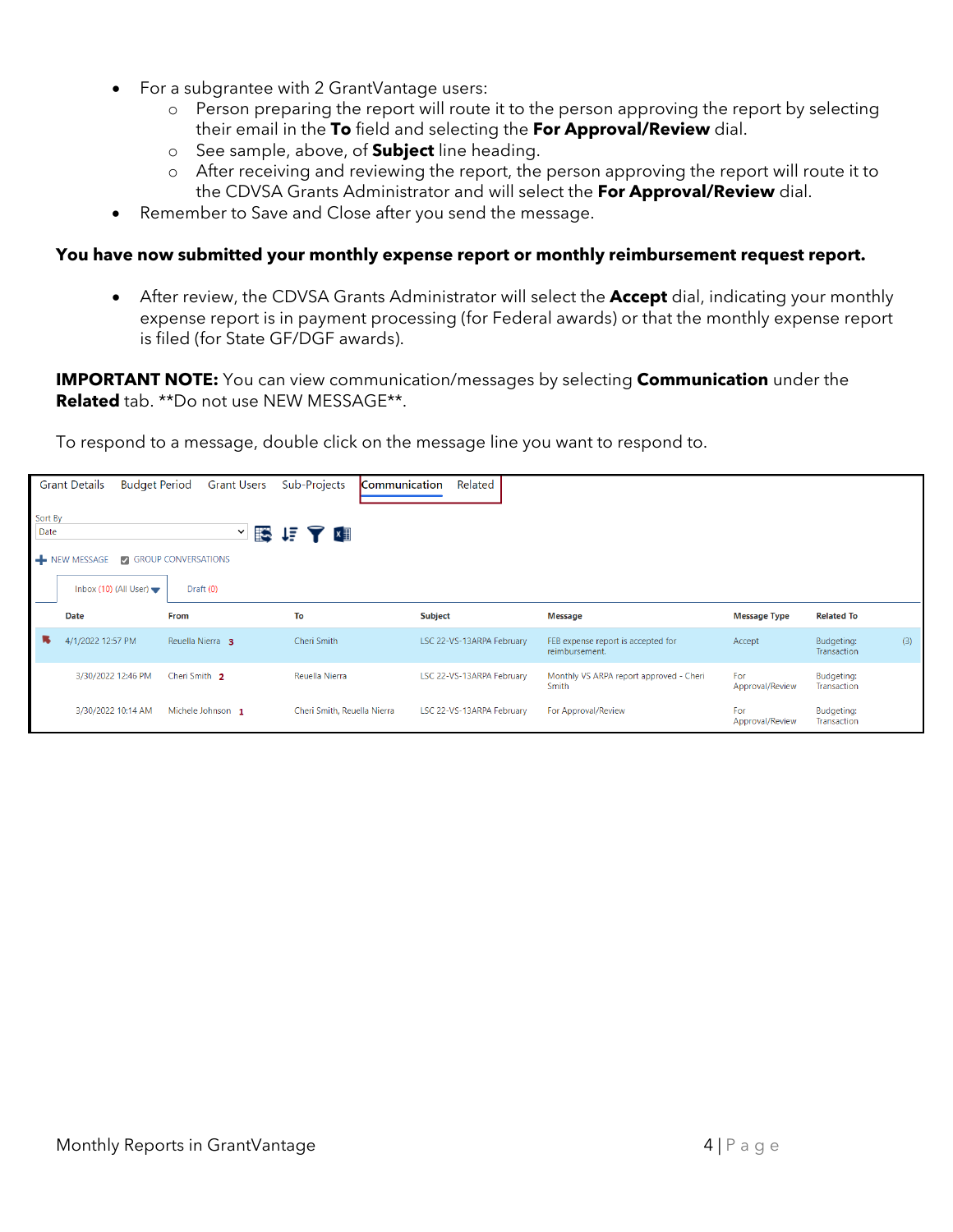- For a subgrantee with 2 GrantVantage users:
	- o Person preparing the report will route it to the person approving the report by selecting their email in the **To** field and selecting the **For Approval/Review** dial.
	- o See sample, above, of **Subject** line heading.
	- o After receiving and reviewing the report, the person approving the report will route it to the CDVSA Grants Administrator and will select the **For Approval/Review** dial.
- Remember to Save and Close after you send the message.

## **You have now submitted your monthly expense report or monthly reimbursement request report.**

• After review, the CDVSA Grants Administrator will select the **Accept** dial, indicating your monthly expense report is in payment processing (for Federal awards) or that the monthly expense report is filed (for State GF/DGF awards).

**IMPORTANT NOTE:** You can view communication/messages by selecting **Communication** under the **Related** tab. \*\*Do not use NEW MESSAGE\*\*.

To respond to a message, double click on the message line you want to respond to.

|                 | <b>Budget Period</b><br><b>Grant Details</b> | <b>Grant Users</b>                     | Sub-Projects<br><b>Communication</b> | Related                   |                                                      |                        |                                  |
|-----------------|----------------------------------------------|----------------------------------------|--------------------------------------|---------------------------|------------------------------------------------------|------------------------|----------------------------------|
| Sort By<br>Date | NEW MESSAGE                                  | $\checkmark$<br>SINGROUP CONVERSATIONS | 医追了阻                                 |                           |                                                      |                        |                                  |
|                 | Inbox (10) (All User) $\blacktriangleright$  | Draft (0)                              |                                      |                           |                                                      |                        |                                  |
|                 | Date                                         | From                                   | To                                   | <b>Subject</b>            | Message                                              | <b>Message Type</b>    | <b>Related To</b>                |
| п,              | 4/1/2022 12:57 PM                            | Reuella Nierra 3                       | Cheri Smith                          | LSC 22-VS-13ARPA February | FEB expense report is accepted for<br>reimbursement. | Accept                 | (3)<br>Budgeting:<br>Transaction |
|                 | 3/30/2022 12:46 PM                           | Cheri Smith 2                          | Reuella Nierra                       | LSC 22-VS-13ARPA February | Monthly VS ARPA report approved - Cheri<br>Smith     | For<br>Approval/Review | Budgeting:<br>Transaction        |
|                 | 3/30/2022 10:14 AM                           | Michele Johnson 1                      | Cheri Smith, Reuella Nierra          | LSC 22-VS-13ARPA February | For Approval/Review                                  | For<br>Approval/Review | Budgeting:<br>Transaction        |